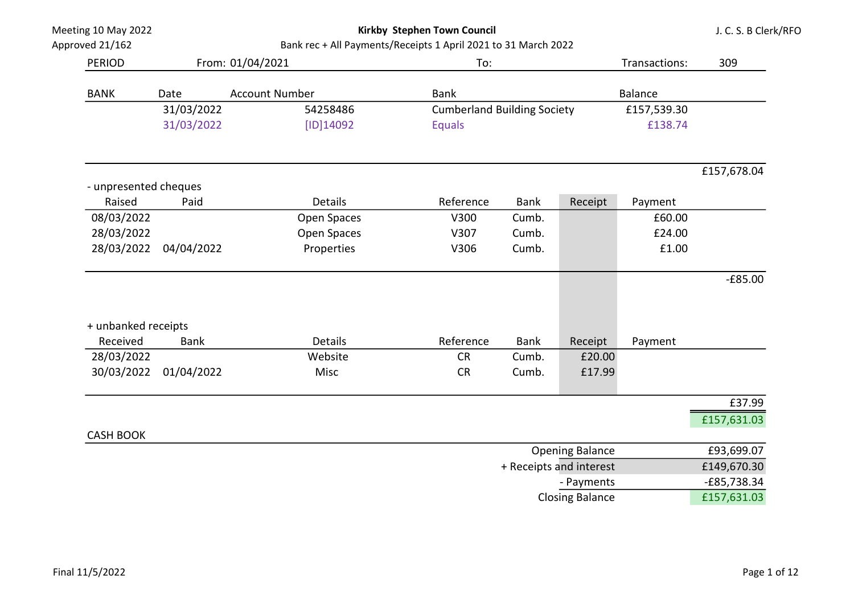Kirkby Stephen Town Council

J. C. S. B Clerk/RFO

| Approved 21/162                 |             | Bank rec + All Payments/Receipts 1 April 2021 to 31 March 2022 |                                    |             |                         |                |                |
|---------------------------------|-------------|----------------------------------------------------------------|------------------------------------|-------------|-------------------------|----------------|----------------|
| <b>PERIOD</b>                   |             | From: 01/04/2021                                               | To:                                |             |                         | Transactions:  | 309            |
| <b>BANK</b>                     | Date        | <b>Account Number</b>                                          | <b>Bank</b>                        |             |                         | <b>Balance</b> |                |
|                                 | 31/03/2022  | 54258486                                                       | <b>Cumberland Building Society</b> |             |                         | £157,539.30    |                |
|                                 | 31/03/2022  | [ID]14092                                                      | <b>Equals</b>                      |             |                         | £138.74        |                |
|                                 |             |                                                                |                                    |             |                         |                | £157,678.04    |
| - unpresented cheques<br>Raised | Paid        | Details                                                        | Reference                          | <b>Bank</b> | Receipt                 | Payment        |                |
| 08/03/2022                      |             | Open Spaces                                                    | V300                               | Cumb.       |                         | £60.00         |                |
| 28/03/2022                      |             | Open Spaces                                                    | V307                               | Cumb.       |                         | £24.00         |                |
| 28/03/2022                      | 04/04/2022  | Properties                                                     | V306                               | Cumb.       |                         | £1.00          |                |
|                                 |             |                                                                |                                    |             |                         |                | $-£85.00$      |
| + unbanked receipts             |             |                                                                |                                    |             |                         |                |                |
| Received                        | <b>Bank</b> | <b>Details</b>                                                 | Reference                          | <b>Bank</b> | Receipt                 | Payment        |                |
| 28/03/2022                      |             | Website                                                        | <b>CR</b>                          | Cumb.       | £20.00                  |                |                |
| 30/03/2022                      | 01/04/2022  | Misc                                                           | <b>CR</b>                          | Cumb.       | £17.99                  |                |                |
|                                 |             |                                                                |                                    |             |                         |                | £37.99         |
| <b>CASH BOOK</b>                |             |                                                                |                                    |             |                         |                | £157,631.03    |
|                                 |             |                                                                |                                    |             | <b>Opening Balance</b>  |                | £93,699.07     |
|                                 |             |                                                                |                                    |             | + Receipts and interest |                | £149,670.30    |
|                                 |             |                                                                |                                    |             |                         |                | $CCT = 220.24$ |

- Payments - E85,738.34 Closing Balance **E157,631.03**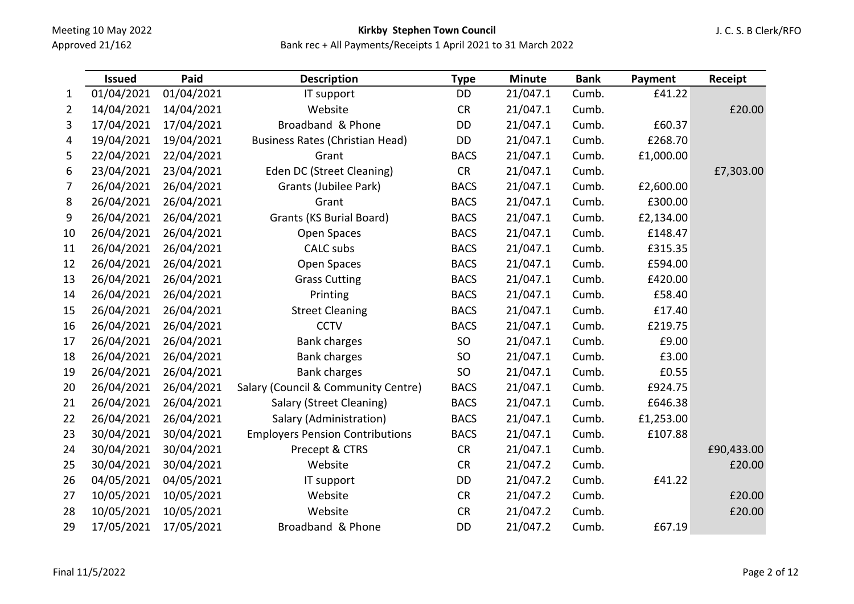# Kirkby Stephen Town Council

|                | <b>Issued</b> | Paid       | <b>Description</b>                     | <b>Type</b> | <b>Minute</b> | <b>Bank</b> | Payment   | Receipt    |
|----------------|---------------|------------|----------------------------------------|-------------|---------------|-------------|-----------|------------|
| $\mathbf{1}$   | 01/04/2021    | 01/04/2021 | IT support                             | DD          | 21/047.1      | Cumb.       | £41.22    |            |
| $\overline{2}$ | 14/04/2021    | 14/04/2021 | Website                                | CR          | 21/047.1      | Cumb.       |           | £20.00     |
| 3              | 17/04/2021    | 17/04/2021 | Broadband & Phone                      | DD          | 21/047.1      | Cumb.       | £60.37    |            |
| 4              | 19/04/2021    | 19/04/2021 | <b>Business Rates (Christian Head)</b> | DD          | 21/047.1      | Cumb.       | £268.70   |            |
| 5              | 22/04/2021    | 22/04/2021 | Grant                                  | <b>BACS</b> | 21/047.1      | Cumb.       | £1,000.00 |            |
| 6              | 23/04/2021    | 23/04/2021 | Eden DC (Street Cleaning)              | <b>CR</b>   | 21/047.1      | Cumb.       |           | £7,303.00  |
| 7              | 26/04/2021    | 26/04/2021 | Grants (Jubilee Park)                  | <b>BACS</b> | 21/047.1      | Cumb.       | £2,600.00 |            |
| 8              | 26/04/2021    | 26/04/2021 | Grant                                  | <b>BACS</b> | 21/047.1      | Cumb.       | £300.00   |            |
| 9              | 26/04/2021    | 26/04/2021 | <b>Grants (KS Burial Board)</b>        | <b>BACS</b> | 21/047.1      | Cumb.       | £2,134.00 |            |
| 10             | 26/04/2021    | 26/04/2021 | Open Spaces                            | <b>BACS</b> | 21/047.1      | Cumb.       | £148.47   |            |
| 11             | 26/04/2021    | 26/04/2021 | CALC subs                              | <b>BACS</b> | 21/047.1      | Cumb.       | £315.35   |            |
| 12             | 26/04/2021    | 26/04/2021 | Open Spaces                            | <b>BACS</b> | 21/047.1      | Cumb.       | £594.00   |            |
| 13             | 26/04/2021    | 26/04/2021 | <b>Grass Cutting</b>                   | <b>BACS</b> | 21/047.1      | Cumb.       | £420.00   |            |
| 14             | 26/04/2021    | 26/04/2021 | Printing                               | <b>BACS</b> | 21/047.1      | Cumb.       | £58.40    |            |
| 15             | 26/04/2021    | 26/04/2021 | <b>Street Cleaning</b>                 | <b>BACS</b> | 21/047.1      | Cumb.       | £17.40    |            |
| 16             | 26/04/2021    | 26/04/2021 | <b>CCTV</b>                            | <b>BACS</b> | 21/047.1      | Cumb.       | £219.75   |            |
| 17             | 26/04/2021    | 26/04/2021 | <b>Bank charges</b>                    | SO          | 21/047.1      | Cumb.       | £9.00     |            |
| 18             | 26/04/2021    | 26/04/2021 | <b>Bank charges</b>                    | SO          | 21/047.1      | Cumb.       | £3.00     |            |
| 19             | 26/04/2021    | 26/04/2021 | <b>Bank charges</b>                    | SO          | 21/047.1      | Cumb.       | £0.55     |            |
| 20             | 26/04/2021    | 26/04/2021 | Salary (Council & Community Centre)    | <b>BACS</b> | 21/047.1      | Cumb.       | £924.75   |            |
| 21             | 26/04/2021    | 26/04/2021 | Salary (Street Cleaning)               | <b>BACS</b> | 21/047.1      | Cumb.       | £646.38   |            |
| 22             | 26/04/2021    | 26/04/2021 | Salary (Administration)                | <b>BACS</b> | 21/047.1      | Cumb.       | £1,253.00 |            |
| 23             | 30/04/2021    | 30/04/2021 | <b>Employers Pension Contributions</b> | <b>BACS</b> | 21/047.1      | Cumb.       | £107.88   |            |
| 24             | 30/04/2021    | 30/04/2021 | Precept & CTRS                         | <b>CR</b>   | 21/047.1      | Cumb.       |           | £90,433.00 |
| 25             | 30/04/2021    | 30/04/2021 | Website                                | <b>CR</b>   | 21/047.2      | Cumb.       |           | £20.00     |
| 26             | 04/05/2021    | 04/05/2021 | IT support                             | DD          | 21/047.2      | Cumb.       | £41.22    |            |
| 27             | 10/05/2021    | 10/05/2021 | Website                                | CR          | 21/047.2      | Cumb.       |           | £20.00     |
| 28             | 10/05/2021    | 10/05/2021 | Website                                | CR          | 21/047.2      | Cumb.       |           | £20.00     |
| 29             | 17/05/2021    | 17/05/2021 | Broadband & Phone                      | <b>DD</b>   | 21/047.2      | Cumb.       | £67.19    |            |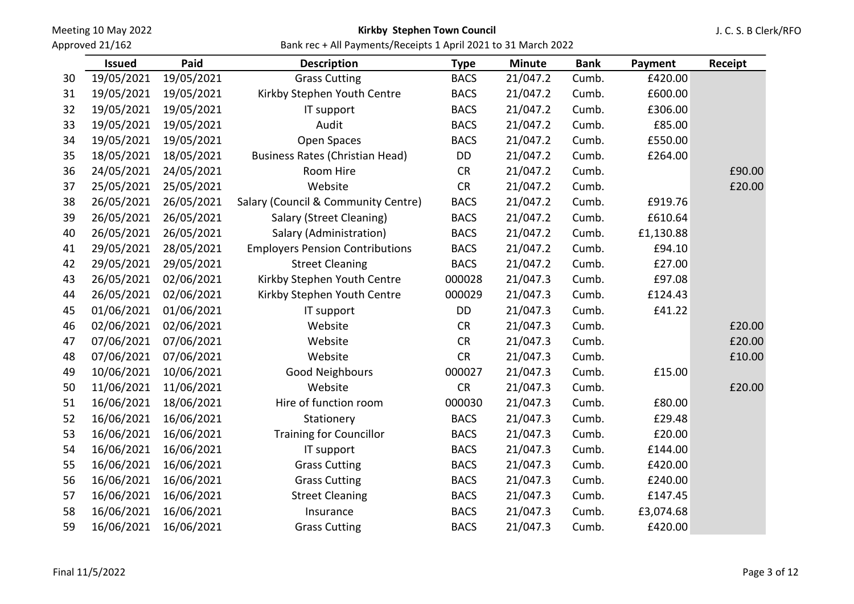Approved 21/162

## Kirkby Stephen Town Council

J. C. S. B Clerk/RFO

Bank rec + All Payments/Receipts 1 April 2021 to 31 March 2022

|    | <b>Issued</b> | Paid       | <b>Description</b>                     | <b>Type</b> | <b>Minute</b> | <b>Bank</b> | Payment   | Receipt |
|----|---------------|------------|----------------------------------------|-------------|---------------|-------------|-----------|---------|
| 30 | 19/05/2021    | 19/05/2021 | <b>Grass Cutting</b>                   | <b>BACS</b> | 21/047.2      | Cumb.       | £420.00   |         |
| 31 | 19/05/2021    | 19/05/2021 | Kirkby Stephen Youth Centre            | <b>BACS</b> | 21/047.2      | Cumb.       | £600.00   |         |
| 32 | 19/05/2021    | 19/05/2021 | IT support                             | <b>BACS</b> | 21/047.2      | Cumb.       | £306.00   |         |
| 33 | 19/05/2021    | 19/05/2021 | Audit                                  | <b>BACS</b> | 21/047.2      | Cumb.       | £85.00    |         |
| 34 | 19/05/2021    | 19/05/2021 | Open Spaces                            | <b>BACS</b> | 21/047.2      | Cumb.       | £550.00   |         |
| 35 | 18/05/2021    | 18/05/2021 | <b>Business Rates (Christian Head)</b> | DD          | 21/047.2      | Cumb.       | £264.00   |         |
| 36 | 24/05/2021    | 24/05/2021 | Room Hire                              | <b>CR</b>   | 21/047.2      | Cumb.       |           | £90.00  |
| 37 | 25/05/2021    | 25/05/2021 | Website                                | <b>CR</b>   | 21/047.2      | Cumb.       |           | £20.00  |
| 38 | 26/05/2021    | 26/05/2021 | Salary (Council & Community Centre)    | <b>BACS</b> | 21/047.2      | Cumb.       | £919.76   |         |
| 39 | 26/05/2021    | 26/05/2021 | Salary (Street Cleaning)               | <b>BACS</b> | 21/047.2      | Cumb.       | £610.64   |         |
| 40 | 26/05/2021    | 26/05/2021 | Salary (Administration)                | <b>BACS</b> | 21/047.2      | Cumb.       | £1,130.88 |         |
| 41 | 29/05/2021    | 28/05/2021 | <b>Employers Pension Contributions</b> | <b>BACS</b> | 21/047.2      | Cumb.       | £94.10    |         |
| 42 | 29/05/2021    | 29/05/2021 | <b>Street Cleaning</b>                 | <b>BACS</b> | 21/047.2      | Cumb.       | £27.00    |         |
| 43 | 26/05/2021    | 02/06/2021 | Kirkby Stephen Youth Centre            | 000028      | 21/047.3      | Cumb.       | £97.08    |         |
| 44 | 26/05/2021    | 02/06/2021 | Kirkby Stephen Youth Centre            | 000029      | 21/047.3      | Cumb.       | £124.43   |         |
| 45 | 01/06/2021    | 01/06/2021 | IT support                             | <b>DD</b>   | 21/047.3      | Cumb.       | £41.22    |         |
| 46 | 02/06/2021    | 02/06/2021 | Website                                | <b>CR</b>   | 21/047.3      | Cumb.       |           | £20.00  |
| 47 | 07/06/2021    | 07/06/2021 | Website                                | CR          | 21/047.3      | Cumb.       |           | £20.00  |
| 48 | 07/06/2021    | 07/06/2021 | Website                                | <b>CR</b>   | 21/047.3      | Cumb.       |           | £10.00  |
| 49 | 10/06/2021    | 10/06/2021 | <b>Good Neighbours</b>                 | 000027      | 21/047.3      | Cumb.       | £15.00    |         |
| 50 | 11/06/2021    | 11/06/2021 | Website                                | CR          | 21/047.3      | Cumb.       |           | £20.00  |
| 51 | 16/06/2021    | 18/06/2021 | Hire of function room                  | 000030      | 21/047.3      | Cumb.       | £80.00    |         |
| 52 | 16/06/2021    | 16/06/2021 | Stationery                             | <b>BACS</b> | 21/047.3      | Cumb.       | £29.48    |         |
| 53 | 16/06/2021    | 16/06/2021 | <b>Training for Councillor</b>         | <b>BACS</b> | 21/047.3      | Cumb.       | £20.00    |         |
| 54 | 16/06/2021    | 16/06/2021 | IT support                             | <b>BACS</b> | 21/047.3      | Cumb.       | £144.00   |         |
| 55 | 16/06/2021    | 16/06/2021 | <b>Grass Cutting</b>                   | <b>BACS</b> | 21/047.3      | Cumb.       | £420.00   |         |
| 56 | 16/06/2021    | 16/06/2021 | <b>Grass Cutting</b>                   | <b>BACS</b> | 21/047.3      | Cumb.       | £240.00   |         |
| 57 | 16/06/2021    | 16/06/2021 | <b>Street Cleaning</b>                 | <b>BACS</b> | 21/047.3      | Cumb.       | £147.45   |         |
| 58 | 16/06/2021    | 16/06/2021 | Insurance                              | <b>BACS</b> | 21/047.3      | Cumb.       | £3,074.68 |         |
| 59 | 16/06/2021    | 16/06/2021 | <b>Grass Cutting</b>                   | <b>BACS</b> | 21/047.3      | Cumb.       | £420.00   |         |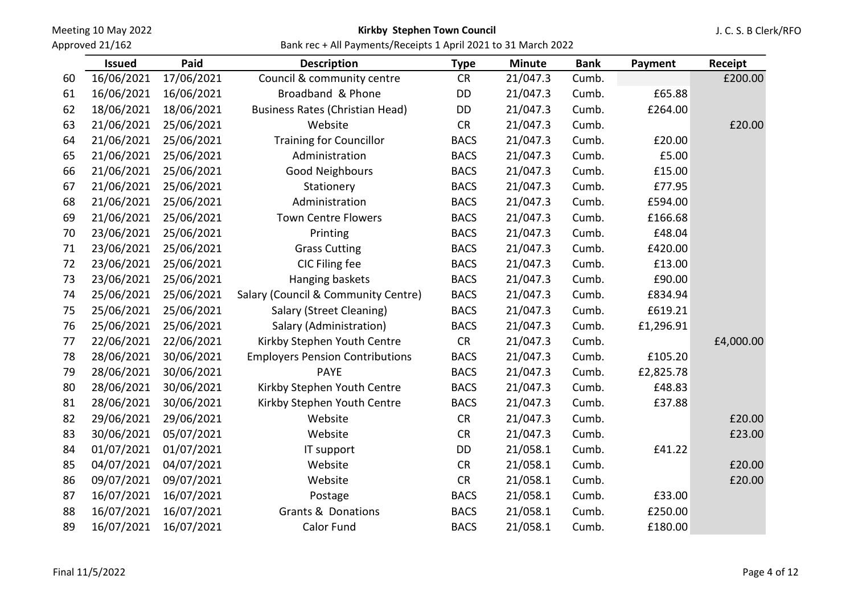Approved 21/162

### Kirkby Stephen Town Council

J. C. S. B Clerk/RFO

Bank rec + All Payments/Receipts 1 April 2021 to 31 March 2022

|    | <b>Issued</b> | Paid       | <b>Description</b>                     | <b>Type</b> | <b>Minute</b> | <b>Bank</b> | Payment   | Receipt   |
|----|---------------|------------|----------------------------------------|-------------|---------------|-------------|-----------|-----------|
| 60 | 16/06/2021    | 17/06/2021 | Council & community centre             | <b>CR</b>   | 21/047.3      | Cumb.       |           | £200.00   |
| 61 | 16/06/2021    | 16/06/2021 | Broadband & Phone                      | DD          | 21/047.3      | Cumb.       | £65.88    |           |
| 62 | 18/06/2021    | 18/06/2021 | <b>Business Rates (Christian Head)</b> | DD          | 21/047.3      | Cumb.       | £264.00   |           |
| 63 | 21/06/2021    | 25/06/2021 | Website                                | CR          | 21/047.3      | Cumb.       |           | £20.00    |
| 64 | 21/06/2021    | 25/06/2021 | <b>Training for Councillor</b>         | <b>BACS</b> | 21/047.3      | Cumb.       | £20.00    |           |
| 65 | 21/06/2021    | 25/06/2021 | Administration                         | <b>BACS</b> | 21/047.3      | Cumb.       | £5.00     |           |
| 66 | 21/06/2021    | 25/06/2021 | Good Neighbours                        | <b>BACS</b> | 21/047.3      | Cumb.       | £15.00    |           |
| 67 | 21/06/2021    | 25/06/2021 | Stationery                             | <b>BACS</b> | 21/047.3      | Cumb.       | £77.95    |           |
| 68 | 21/06/2021    | 25/06/2021 | Administration                         | <b>BACS</b> | 21/047.3      | Cumb.       | £594.00   |           |
| 69 | 21/06/2021    | 25/06/2021 | <b>Town Centre Flowers</b>             | <b>BACS</b> | 21/047.3      | Cumb.       | £166.68   |           |
| 70 | 23/06/2021    | 25/06/2021 | Printing                               | <b>BACS</b> | 21/047.3      | Cumb.       | £48.04    |           |
| 71 | 23/06/2021    | 25/06/2021 | <b>Grass Cutting</b>                   | <b>BACS</b> | 21/047.3      | Cumb.       | £420.00   |           |
| 72 | 23/06/2021    | 25/06/2021 | CIC Filing fee                         | <b>BACS</b> | 21/047.3      | Cumb.       | £13.00    |           |
| 73 | 23/06/2021    | 25/06/2021 | Hanging baskets                        | <b>BACS</b> | 21/047.3      | Cumb.       | £90.00    |           |
| 74 | 25/06/2021    | 25/06/2021 | Salary (Council & Community Centre)    | <b>BACS</b> | 21/047.3      | Cumb.       | £834.94   |           |
| 75 | 25/06/2021    | 25/06/2021 | Salary (Street Cleaning)               | <b>BACS</b> | 21/047.3      | Cumb.       | £619.21   |           |
| 76 | 25/06/2021    | 25/06/2021 | Salary (Administration)                | <b>BACS</b> | 21/047.3      | Cumb.       | £1,296.91 |           |
| 77 | 22/06/2021    | 22/06/2021 | Kirkby Stephen Youth Centre            | CR          | 21/047.3      | Cumb.       |           | £4,000.00 |
| 78 | 28/06/2021    | 30/06/2021 | <b>Employers Pension Contributions</b> | <b>BACS</b> | 21/047.3      | Cumb.       | £105.20   |           |
| 79 | 28/06/2021    | 30/06/2021 | <b>PAYE</b>                            | <b>BACS</b> | 21/047.3      | Cumb.       | £2,825.78 |           |
| 80 | 28/06/2021    | 30/06/2021 | Kirkby Stephen Youth Centre            | <b>BACS</b> | 21/047.3      | Cumb.       | £48.83    |           |
| 81 | 28/06/2021    | 30/06/2021 | Kirkby Stephen Youth Centre            | <b>BACS</b> | 21/047.3      | Cumb.       | £37.88    |           |
| 82 | 29/06/2021    | 29/06/2021 | Website                                | <b>CR</b>   | 21/047.3      | Cumb.       |           | £20.00    |
| 83 | 30/06/2021    | 05/07/2021 | Website                                | CR          | 21/047.3      | Cumb.       |           | £23.00    |
| 84 | 01/07/2021    | 01/07/2021 | IT support                             | DD          | 21/058.1      | Cumb.       | £41.22    |           |
| 85 | 04/07/2021    | 04/07/2021 | Website                                | <b>CR</b>   | 21/058.1      | Cumb.       |           | £20.00    |
| 86 | 09/07/2021    | 09/07/2021 | Website                                | <b>CR</b>   | 21/058.1      | Cumb.       |           | £20.00    |
| 87 | 16/07/2021    | 16/07/2021 | Postage                                | <b>BACS</b> | 21/058.1      | Cumb.       | £33.00    |           |
| 88 | 16/07/2021    | 16/07/2021 | <b>Grants &amp; Donations</b>          | <b>BACS</b> | 21/058.1      | Cumb.       | £250.00   |           |
| 89 | 16/07/2021    | 16/07/2021 | Calor Fund                             | <b>BACS</b> | 21/058.1      | Cumb.       | £180.00   |           |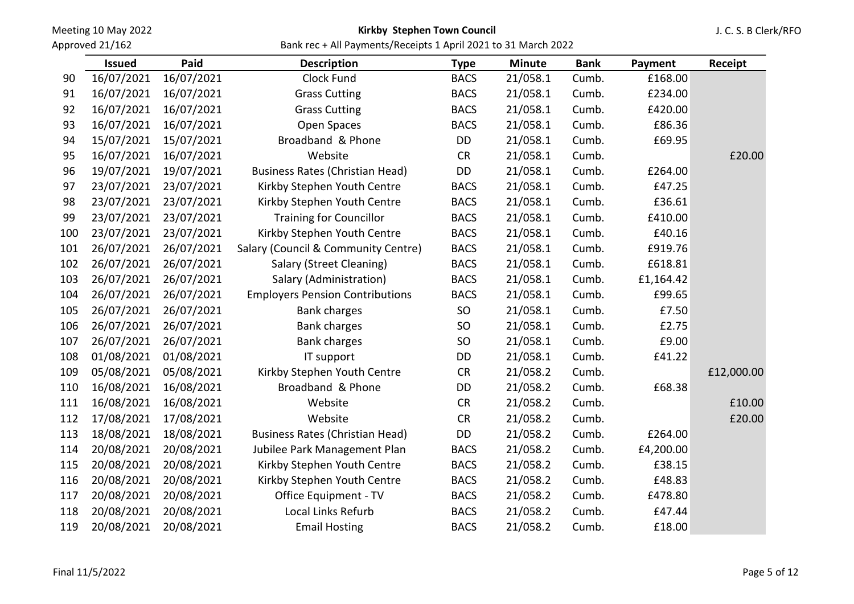Approved 21/162

### Kirkby Stephen Town Council

J. C. S. B Clerk/RFO

|     | <b>Issued</b> | Paid       | <b>Description</b>                     | <b>Type</b> | <b>Minute</b> | <b>Bank</b> | Payment   | Receipt    |
|-----|---------------|------------|----------------------------------------|-------------|---------------|-------------|-----------|------------|
| 90  | 16/07/2021    | 16/07/2021 | Clock Fund                             | <b>BACS</b> | 21/058.1      | Cumb.       | £168.00   |            |
| 91  | 16/07/2021    | 16/07/2021 | <b>Grass Cutting</b>                   | <b>BACS</b> | 21/058.1      | Cumb.       | £234.00   |            |
| 92  | 16/07/2021    | 16/07/2021 | <b>Grass Cutting</b>                   | <b>BACS</b> | 21/058.1      | Cumb.       | £420.00   |            |
| 93  | 16/07/2021    | 16/07/2021 | Open Spaces                            | <b>BACS</b> | 21/058.1      | Cumb.       | £86.36    |            |
| 94  | 15/07/2021    | 15/07/2021 | Broadband & Phone                      | DD          | 21/058.1      | Cumb.       | £69.95    |            |
| 95  | 16/07/2021    | 16/07/2021 | Website                                | <b>CR</b>   | 21/058.1      | Cumb.       |           | £20.00     |
| 96  | 19/07/2021    | 19/07/2021 | <b>Business Rates (Christian Head)</b> | DD          | 21/058.1      | Cumb.       | £264.00   |            |
| 97  | 23/07/2021    | 23/07/2021 | Kirkby Stephen Youth Centre            | <b>BACS</b> | 21/058.1      | Cumb.       | £47.25    |            |
| 98  | 23/07/2021    | 23/07/2021 | Kirkby Stephen Youth Centre            | <b>BACS</b> | 21/058.1      | Cumb.       | £36.61    |            |
| 99  | 23/07/2021    | 23/07/2021 | <b>Training for Councillor</b>         | <b>BACS</b> | 21/058.1      | Cumb.       | £410.00   |            |
| 100 | 23/07/2021    | 23/07/2021 | Kirkby Stephen Youth Centre            | <b>BACS</b> | 21/058.1      | Cumb.       | £40.16    |            |
| 101 | 26/07/2021    | 26/07/2021 | Salary (Council & Community Centre)    | <b>BACS</b> | 21/058.1      | Cumb.       | £919.76   |            |
| 102 | 26/07/2021    | 26/07/2021 | Salary (Street Cleaning)               | <b>BACS</b> | 21/058.1      | Cumb.       | £618.81   |            |
| 103 | 26/07/2021    | 26/07/2021 | Salary (Administration)                | <b>BACS</b> | 21/058.1      | Cumb.       | £1,164.42 |            |
| 104 | 26/07/2021    | 26/07/2021 | <b>Employers Pension Contributions</b> | <b>BACS</b> | 21/058.1      | Cumb.       | £99.65    |            |
| 105 | 26/07/2021    | 26/07/2021 | <b>Bank charges</b>                    | SO          | 21/058.1      | Cumb.       | £7.50     |            |
| 106 | 26/07/2021    | 26/07/2021 | <b>Bank charges</b>                    | <b>SO</b>   | 21/058.1      | Cumb.       | £2.75     |            |
| 107 | 26/07/2021    | 26/07/2021 | <b>Bank charges</b>                    | SO          | 21/058.1      | Cumb.       | £9.00     |            |
| 108 | 01/08/2021    | 01/08/2021 | IT support                             | DD          | 21/058.1      | Cumb.       | £41.22    |            |
| 109 | 05/08/2021    | 05/08/2021 | Kirkby Stephen Youth Centre            | <b>CR</b>   | 21/058.2      | Cumb.       |           | £12,000.00 |
| 110 | 16/08/2021    | 16/08/2021 | Broadband & Phone                      | DD          | 21/058.2      | Cumb.       | £68.38    |            |
| 111 | 16/08/2021    | 16/08/2021 | Website                                | CR          | 21/058.2      | Cumb.       |           | £10.00     |
| 112 | 17/08/2021    | 17/08/2021 | Website                                | CR          | 21/058.2      | Cumb.       |           | £20.00     |
| 113 | 18/08/2021    | 18/08/2021 | <b>Business Rates (Christian Head)</b> | DD          | 21/058.2      | Cumb.       | £264.00   |            |
| 114 | 20/08/2021    | 20/08/2021 | Jubilee Park Management Plan           | <b>BACS</b> | 21/058.2      | Cumb.       | £4,200.00 |            |
| 115 | 20/08/2021    | 20/08/2021 | Kirkby Stephen Youth Centre            | <b>BACS</b> | 21/058.2      | Cumb.       | £38.15    |            |
| 116 | 20/08/2021    | 20/08/2021 | Kirkby Stephen Youth Centre            | <b>BACS</b> | 21/058.2      | Cumb.       | £48.83    |            |
| 117 | 20/08/2021    | 20/08/2021 | Office Equipment - TV                  | <b>BACS</b> | 21/058.2      | Cumb.       | £478.80   |            |
| 118 | 20/08/2021    | 20/08/2021 | Local Links Refurb                     | <b>BACS</b> | 21/058.2      | Cumb.       | £47.44    |            |
| 119 | 20/08/2021    | 20/08/2021 | <b>Email Hosting</b>                   | <b>BACS</b> | 21/058.2      | Cumb.       | £18.00    |            |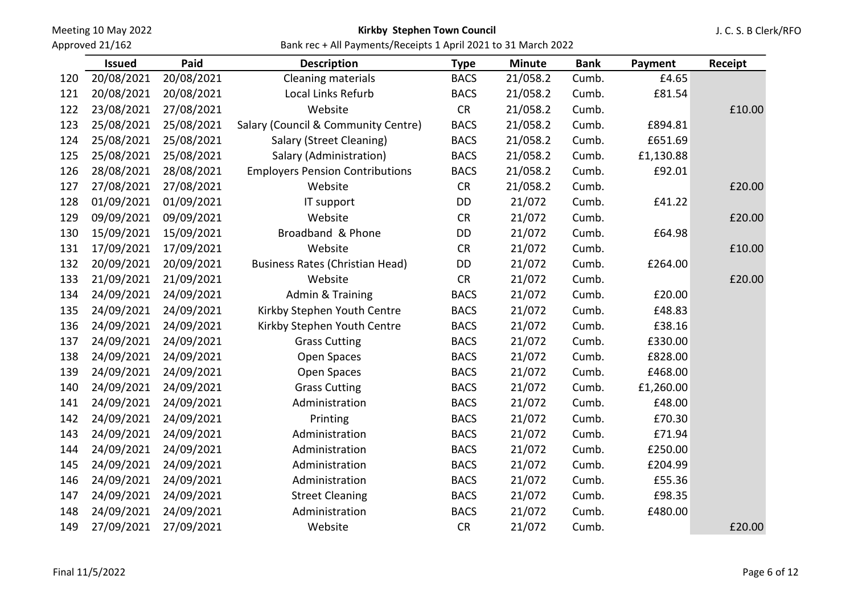Approved 21/162

### Kirkby Stephen Town Council

J. C. S. B Clerk/RFO

|     | <b>Issued</b> | Paid       | <b>Description</b>                     | <b>Type</b> | <b>Minute</b> | <b>Bank</b> | Payment   | Receipt |
|-----|---------------|------------|----------------------------------------|-------------|---------------|-------------|-----------|---------|
| 120 | 20/08/2021    | 20/08/2021 | Cleaning materials                     | <b>BACS</b> | 21/058.2      | Cumb.       | £4.65     |         |
| 121 | 20/08/2021    | 20/08/2021 | Local Links Refurb                     | <b>BACS</b> | 21/058.2      | Cumb.       | £81.54    |         |
| 122 | 23/08/2021    | 27/08/2021 | Website                                | CR          | 21/058.2      | Cumb.       |           | £10.00  |
| 123 | 25/08/2021    | 25/08/2021 | Salary (Council & Community Centre)    | <b>BACS</b> | 21/058.2      | Cumb.       | £894.81   |         |
| 124 | 25/08/2021    | 25/08/2021 | Salary (Street Cleaning)               | <b>BACS</b> | 21/058.2      | Cumb.       | £651.69   |         |
| 125 | 25/08/2021    | 25/08/2021 | Salary (Administration)                | <b>BACS</b> | 21/058.2      | Cumb.       | £1,130.88 |         |
| 126 | 28/08/2021    | 28/08/2021 | <b>Employers Pension Contributions</b> | <b>BACS</b> | 21/058.2      | Cumb.       | £92.01    |         |
| 127 | 27/08/2021    | 27/08/2021 | Website                                | <b>CR</b>   | 21/058.2      | Cumb.       |           | £20.00  |
| 128 | 01/09/2021    | 01/09/2021 | IT support                             | DD          | 21/072        | Cumb.       | £41.22    |         |
| 129 | 09/09/2021    | 09/09/2021 | Website                                | CR          | 21/072        | Cumb.       |           | £20.00  |
| 130 | 15/09/2021    | 15/09/2021 | Broadband & Phone                      | DD          | 21/072        | Cumb.       | £64.98    |         |
| 131 | 17/09/2021    | 17/09/2021 | Website                                | CR          | 21/072        | Cumb.       |           | £10.00  |
| 132 | 20/09/2021    | 20/09/2021 | <b>Business Rates (Christian Head)</b> | DD          | 21/072        | Cumb.       | £264.00   |         |
| 133 | 21/09/2021    | 21/09/2021 | Website                                | CR          | 21/072        | Cumb.       |           | £20.00  |
| 134 | 24/09/2021    | 24/09/2021 | Admin & Training                       | <b>BACS</b> | 21/072        | Cumb.       | £20.00    |         |
| 135 | 24/09/2021    | 24/09/2021 | Kirkby Stephen Youth Centre            | <b>BACS</b> | 21/072        | Cumb.       | £48.83    |         |
| 136 | 24/09/2021    | 24/09/2021 | Kirkby Stephen Youth Centre            | <b>BACS</b> | 21/072        | Cumb.       | £38.16    |         |
| 137 | 24/09/2021    | 24/09/2021 | <b>Grass Cutting</b>                   | <b>BACS</b> | 21/072        | Cumb.       | £330.00   |         |
| 138 | 24/09/2021    | 24/09/2021 | Open Spaces                            | <b>BACS</b> | 21/072        | Cumb.       | £828.00   |         |
| 139 | 24/09/2021    | 24/09/2021 | Open Spaces                            | <b>BACS</b> | 21/072        | Cumb.       | £468.00   |         |
| 140 | 24/09/2021    | 24/09/2021 | <b>Grass Cutting</b>                   | <b>BACS</b> | 21/072        | Cumb.       | £1,260.00 |         |
| 141 | 24/09/2021    | 24/09/2021 | Administration                         | <b>BACS</b> | 21/072        | Cumb.       | £48.00    |         |
| 142 | 24/09/2021    | 24/09/2021 | Printing                               | <b>BACS</b> | 21/072        | Cumb.       | £70.30    |         |
| 143 | 24/09/2021    | 24/09/2021 | Administration                         | <b>BACS</b> | 21/072        | Cumb.       | £71.94    |         |
| 144 | 24/09/2021    | 24/09/2021 | Administration                         | <b>BACS</b> | 21/072        | Cumb.       | £250.00   |         |
| 145 | 24/09/2021    | 24/09/2021 | Administration                         | <b>BACS</b> | 21/072        | Cumb.       | £204.99   |         |
| 146 | 24/09/2021    | 24/09/2021 | Administration                         | <b>BACS</b> | 21/072        | Cumb.       | £55.36    |         |
| 147 | 24/09/2021    | 24/09/2021 | <b>Street Cleaning</b>                 | <b>BACS</b> | 21/072        | Cumb.       | £98.35    |         |
| 148 | 24/09/2021    | 24/09/2021 | Administration                         | <b>BACS</b> | 21/072        | Cumb.       | £480.00   |         |
| 149 | 27/09/2021    | 27/09/2021 | Website                                | CR          | 21/072        | Cumb.       |           | £20.00  |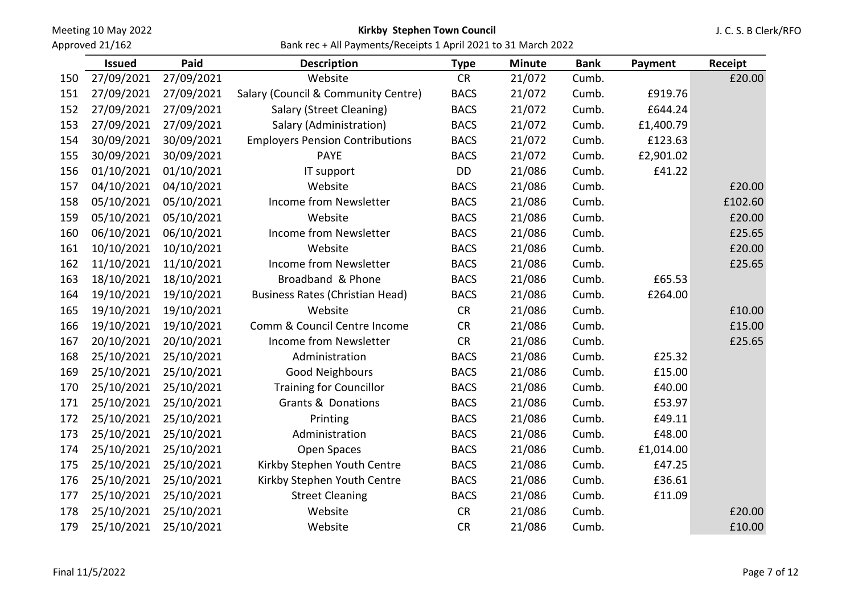Approved 21/162

## Kirkby Stephen Town Council

J. C. S. B Clerk/RFO

|     | <b>Issued</b> | Paid       | <b>Description</b>                     | <b>Type</b> | <b>Minute</b> | <b>Bank</b> | Payment   | Receipt |
|-----|---------------|------------|----------------------------------------|-------------|---------------|-------------|-----------|---------|
| 150 | 27/09/2021    | 27/09/2021 | Website                                | <b>CR</b>   | 21/072        | Cumb.       |           | £20.00  |
| 151 | 27/09/2021    | 27/09/2021 | Salary (Council & Community Centre)    | <b>BACS</b> | 21/072        | Cumb.       | £919.76   |         |
| 152 | 27/09/2021    | 27/09/2021 | Salary (Street Cleaning)               | <b>BACS</b> | 21/072        | Cumb.       | £644.24   |         |
| 153 | 27/09/2021    | 27/09/2021 | Salary (Administration)                | <b>BACS</b> | 21/072        | Cumb.       | £1,400.79 |         |
| 154 | 30/09/2021    | 30/09/2021 | <b>Employers Pension Contributions</b> | <b>BACS</b> | 21/072        | Cumb.       | £123.63   |         |
| 155 | 30/09/2021    | 30/09/2021 | <b>PAYE</b>                            | <b>BACS</b> | 21/072        | Cumb.       | £2,901.02 |         |
| 156 | 01/10/2021    | 01/10/2021 | IT support                             | DD          | 21/086        | Cumb.       | £41.22    |         |
| 157 | 04/10/2021    | 04/10/2021 | Website                                | <b>BACS</b> | 21/086        | Cumb.       |           | £20.00  |
| 158 | 05/10/2021    | 05/10/2021 | Income from Newsletter                 | <b>BACS</b> | 21/086        | Cumb.       |           | £102.60 |
| 159 | 05/10/2021    | 05/10/2021 | Website                                | <b>BACS</b> | 21/086        | Cumb.       |           | £20.00  |
| 160 | 06/10/2021    | 06/10/2021 | Income from Newsletter                 | <b>BACS</b> | 21/086        | Cumb.       |           | £25.65  |
| 161 | 10/10/2021    | 10/10/2021 | Website                                | <b>BACS</b> | 21/086        | Cumb.       |           | £20.00  |
| 162 | 11/10/2021    | 11/10/2021 | Income from Newsletter                 | <b>BACS</b> | 21/086        | Cumb.       |           | £25.65  |
| 163 | 18/10/2021    | 18/10/2021 | Broadband & Phone                      | <b>BACS</b> | 21/086        | Cumb.       | £65.53    |         |
| 164 | 19/10/2021    | 19/10/2021 | <b>Business Rates (Christian Head)</b> | <b>BACS</b> | 21/086        | Cumb.       | £264.00   |         |
| 165 | 19/10/2021    | 19/10/2021 | Website                                | <b>CR</b>   | 21/086        | Cumb.       |           | £10.00  |
| 166 | 19/10/2021    | 19/10/2021 | Comm & Council Centre Income           | <b>CR</b>   | 21/086        | Cumb.       |           | £15.00  |
| 167 | 20/10/2021    | 20/10/2021 | Income from Newsletter                 | <b>CR</b>   | 21/086        | Cumb.       |           | £25.65  |
| 168 | 25/10/2021    | 25/10/2021 | Administration                         | <b>BACS</b> | 21/086        | Cumb.       | £25.32    |         |
| 169 | 25/10/2021    | 25/10/2021 | Good Neighbours                        | <b>BACS</b> | 21/086        | Cumb.       | £15.00    |         |
| 170 | 25/10/2021    | 25/10/2021 | <b>Training for Councillor</b>         | <b>BACS</b> | 21/086        | Cumb.       | £40.00    |         |
| 171 | 25/10/2021    | 25/10/2021 | <b>Grants &amp; Donations</b>          | <b>BACS</b> | 21/086        | Cumb.       | £53.97    |         |
| 172 | 25/10/2021    | 25/10/2021 | Printing                               | <b>BACS</b> | 21/086        | Cumb.       | £49.11    |         |
| 173 | 25/10/2021    | 25/10/2021 | Administration                         | <b>BACS</b> | 21/086        | Cumb.       | £48.00    |         |
| 174 | 25/10/2021    | 25/10/2021 | Open Spaces                            | <b>BACS</b> | 21/086        | Cumb.       | £1,014.00 |         |
| 175 | 25/10/2021    | 25/10/2021 | Kirkby Stephen Youth Centre            | <b>BACS</b> | 21/086        | Cumb.       | £47.25    |         |
| 176 | 25/10/2021    | 25/10/2021 | Kirkby Stephen Youth Centre            | <b>BACS</b> | 21/086        | Cumb.       | £36.61    |         |
| 177 | 25/10/2021    | 25/10/2021 | <b>Street Cleaning</b>                 | <b>BACS</b> | 21/086        | Cumb.       | £11.09    |         |
| 178 | 25/10/2021    | 25/10/2021 | Website                                | <b>CR</b>   | 21/086        | Cumb.       |           | £20.00  |
| 179 | 25/10/2021    | 25/10/2021 | Website                                | <b>CR</b>   | 21/086        | Cumb.       |           | £10.00  |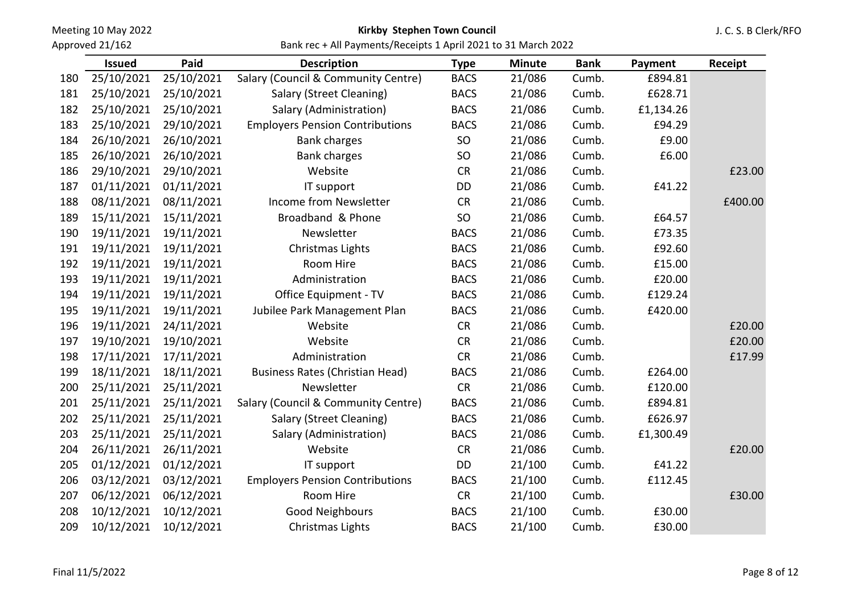Approved 21/162

### Kirkby Stephen Town Council

J. C. S. B Clerk/RFO

Bank rec + All Payments/Receipts 1 April 2021 to 31 March 2022

|     | <b>Issued</b> | Paid       | <b>Description</b>                     | <b>Type</b> | <b>Minute</b> | <b>Bank</b> | Payment   | Receipt |
|-----|---------------|------------|----------------------------------------|-------------|---------------|-------------|-----------|---------|
| 180 | 25/10/2021    | 25/10/2021 | Salary (Council & Community Centre)    | <b>BACS</b> | 21/086        | Cumb.       | £894.81   |         |
| 181 | 25/10/2021    | 25/10/2021 | Salary (Street Cleaning)               | <b>BACS</b> | 21/086        | Cumb.       | £628.71   |         |
| 182 | 25/10/2021    | 25/10/2021 | Salary (Administration)                | <b>BACS</b> | 21/086        | Cumb.       | £1,134.26 |         |
| 183 | 25/10/2021    | 29/10/2021 | <b>Employers Pension Contributions</b> | <b>BACS</b> | 21/086        | Cumb.       | £94.29    |         |
| 184 | 26/10/2021    | 26/10/2021 | <b>Bank charges</b>                    | SO          | 21/086        | Cumb.       | £9.00     |         |
| 185 | 26/10/2021    | 26/10/2021 | <b>Bank charges</b>                    | SO          | 21/086        | Cumb.       | £6.00     |         |
| 186 | 29/10/2021    | 29/10/2021 | Website                                | <b>CR</b>   | 21/086        | Cumb.       |           | £23.00  |
| 187 | 01/11/2021    | 01/11/2021 | IT support                             | DD          | 21/086        | Cumb.       | £41.22    |         |
| 188 | 08/11/2021    | 08/11/2021 | Income from Newsletter                 | CR          | 21/086        | Cumb.       |           | £400.00 |
| 189 | 15/11/2021    | 15/11/2021 | Broadband & Phone                      | SO          | 21/086        | Cumb.       | £64.57    |         |
| 190 | 19/11/2021    | 19/11/2021 | Newsletter                             | <b>BACS</b> | 21/086        | Cumb.       | £73.35    |         |
| 191 | 19/11/2021    | 19/11/2021 | Christmas Lights                       | <b>BACS</b> | 21/086        | Cumb.       | £92.60    |         |
| 192 | 19/11/2021    | 19/11/2021 | Room Hire                              | <b>BACS</b> | 21/086        | Cumb.       | £15.00    |         |
| 193 | 19/11/2021    | 19/11/2021 | Administration                         | <b>BACS</b> | 21/086        | Cumb.       | £20.00    |         |
| 194 | 19/11/2021    | 19/11/2021 | Office Equipment - TV                  | <b>BACS</b> | 21/086        | Cumb.       | £129.24   |         |
| 195 | 19/11/2021    | 19/11/2021 | Jubilee Park Management Plan           | <b>BACS</b> | 21/086        | Cumb.       | £420.00   |         |
| 196 | 19/11/2021    | 24/11/2021 | Website                                | <b>CR</b>   | 21/086        | Cumb.       |           | £20.00  |
| 197 | 19/10/2021    | 19/10/2021 | Website                                | <b>CR</b>   | 21/086        | Cumb.       |           | £20.00  |
| 198 | 17/11/2021    | 17/11/2021 | Administration                         | <b>CR</b>   | 21/086        | Cumb.       |           | £17.99  |
| 199 | 18/11/2021    | 18/11/2021 | <b>Business Rates (Christian Head)</b> | <b>BACS</b> | 21/086        | Cumb.       | £264.00   |         |
| 200 | 25/11/2021    | 25/11/2021 | Newsletter                             | <b>CR</b>   | 21/086        | Cumb.       | £120.00   |         |
| 201 | 25/11/2021    | 25/11/2021 | Salary (Council & Community Centre)    | <b>BACS</b> | 21/086        | Cumb.       | £894.81   |         |
| 202 | 25/11/2021    | 25/11/2021 | Salary (Street Cleaning)               | <b>BACS</b> | 21/086        | Cumb.       | £626.97   |         |
| 203 | 25/11/2021    | 25/11/2021 | Salary (Administration)                | <b>BACS</b> | 21/086        | Cumb.       | £1,300.49 |         |
| 204 | 26/11/2021    | 26/11/2021 | Website                                | CR          | 21/086        | Cumb.       |           | £20.00  |
| 205 | 01/12/2021    | 01/12/2021 | IT support                             | <b>DD</b>   | 21/100        | Cumb.       | £41.22    |         |
| 206 | 03/12/2021    | 03/12/2021 | <b>Employers Pension Contributions</b> | <b>BACS</b> | 21/100        | Cumb.       | £112.45   |         |
| 207 | 06/12/2021    | 06/12/2021 | Room Hire                              | <b>CR</b>   | 21/100        | Cumb.       |           | £30.00  |
| 208 | 10/12/2021    | 10/12/2021 | Good Neighbours                        | <b>BACS</b> | 21/100        | Cumb.       | £30.00    |         |
| 209 | 10/12/2021    | 10/12/2021 | Christmas Lights                       | <b>BACS</b> | 21/100        | Cumb.       | £30.00    |         |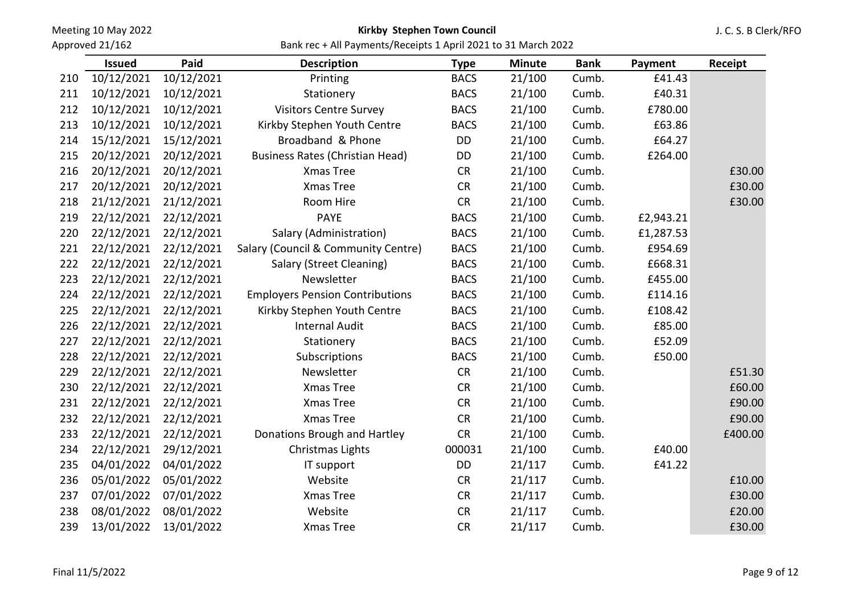Approved 21/162

### Kirkby Stephen Town Council

J. C. S. B Clerk/RFO

|     | <b>Issued</b> | Paid       | <b>Description</b>                     | <b>Type</b> | <b>Minute</b> | <b>Bank</b> | Payment   | Receipt |
|-----|---------------|------------|----------------------------------------|-------------|---------------|-------------|-----------|---------|
| 210 | 10/12/2021    | 10/12/2021 | Printing                               | <b>BACS</b> | 21/100        | Cumb.       | £41.43    |         |
| 211 | 10/12/2021    | 10/12/2021 | Stationery                             | <b>BACS</b> | 21/100        | Cumb.       | £40.31    |         |
| 212 | 10/12/2021    | 10/12/2021 | <b>Visitors Centre Survey</b>          | <b>BACS</b> | 21/100        | Cumb.       | £780.00   |         |
| 213 | 10/12/2021    | 10/12/2021 | Kirkby Stephen Youth Centre            | <b>BACS</b> | 21/100        | Cumb.       | £63.86    |         |
| 214 | 15/12/2021    | 15/12/2021 | Broadband & Phone                      | DD          | 21/100        | Cumb.       | £64.27    |         |
| 215 | 20/12/2021    | 20/12/2021 | <b>Business Rates (Christian Head)</b> | DD          | 21/100        | Cumb.       | £264.00   |         |
| 216 | 20/12/2021    | 20/12/2021 | Xmas Tree                              | <b>CR</b>   | 21/100        | Cumb.       |           | £30.00  |
| 217 | 20/12/2021    | 20/12/2021 | Xmas Tree                              | CR          | 21/100        | Cumb.       |           | £30.00  |
| 218 | 21/12/2021    | 21/12/2021 | Room Hire                              | CR          | 21/100        | Cumb.       |           | £30.00  |
| 219 | 22/12/2021    | 22/12/2021 | <b>PAYE</b>                            | <b>BACS</b> | 21/100        | Cumb.       | £2,943.21 |         |
| 220 | 22/12/2021    | 22/12/2021 | Salary (Administration)                | <b>BACS</b> | 21/100        | Cumb.       | £1,287.53 |         |
| 221 | 22/12/2021    | 22/12/2021 | Salary (Council & Community Centre)    | <b>BACS</b> | 21/100        | Cumb.       | £954.69   |         |
| 222 | 22/12/2021    | 22/12/2021 | Salary (Street Cleaning)               | <b>BACS</b> | 21/100        | Cumb.       | £668.31   |         |
| 223 | 22/12/2021    | 22/12/2021 | Newsletter                             | <b>BACS</b> | 21/100        | Cumb.       | £455.00   |         |
| 224 | 22/12/2021    | 22/12/2021 | <b>Employers Pension Contributions</b> | <b>BACS</b> | 21/100        | Cumb.       | £114.16   |         |
| 225 | 22/12/2021    | 22/12/2021 | Kirkby Stephen Youth Centre            | <b>BACS</b> | 21/100        | Cumb.       | £108.42   |         |
| 226 | 22/12/2021    | 22/12/2021 | <b>Internal Audit</b>                  | <b>BACS</b> | 21/100        | Cumb.       | £85.00    |         |
| 227 | 22/12/2021    | 22/12/2021 | Stationery                             | <b>BACS</b> | 21/100        | Cumb.       | £52.09    |         |
| 228 | 22/12/2021    | 22/12/2021 | Subscriptions                          | <b>BACS</b> | 21/100        | Cumb.       | £50.00    |         |
| 229 | 22/12/2021    | 22/12/2021 | Newsletter                             | CR          | 21/100        | Cumb.       |           | £51.30  |
| 230 | 22/12/2021    | 22/12/2021 | Xmas Tree                              | <b>CR</b>   | 21/100        | Cumb.       |           | £60.00  |
| 231 | 22/12/2021    | 22/12/2021 | Xmas Tree                              | <b>CR</b>   | 21/100        | Cumb.       |           | £90.00  |
| 232 | 22/12/2021    | 22/12/2021 | Xmas Tree                              | CR          | 21/100        | Cumb.       |           | £90.00  |
| 233 | 22/12/2021    | 22/12/2021 | Donations Brough and Hartley           | <b>CR</b>   | 21/100        | Cumb.       |           | £400.00 |
| 234 | 22/12/2021    | 29/12/2021 | Christmas Lights                       | 000031      | 21/100        | Cumb.       | £40.00    |         |
| 235 | 04/01/2022    | 04/01/2022 | IT support                             | <b>DD</b>   | 21/117        | Cumb.       | £41.22    |         |
| 236 | 05/01/2022    | 05/01/2022 | Website                                | <b>CR</b>   | 21/117        | Cumb.       |           | £10.00  |
| 237 | 07/01/2022    | 07/01/2022 | Xmas Tree                              | <b>CR</b>   | 21/117        | Cumb.       |           | £30.00  |
| 238 | 08/01/2022    | 08/01/2022 | Website                                | <b>CR</b>   | 21/117        | Cumb.       |           | £20.00  |
| 239 | 13/01/2022    | 13/01/2022 | Xmas Tree                              | <b>CR</b>   | 21/117        | Cumb.       |           | £30.00  |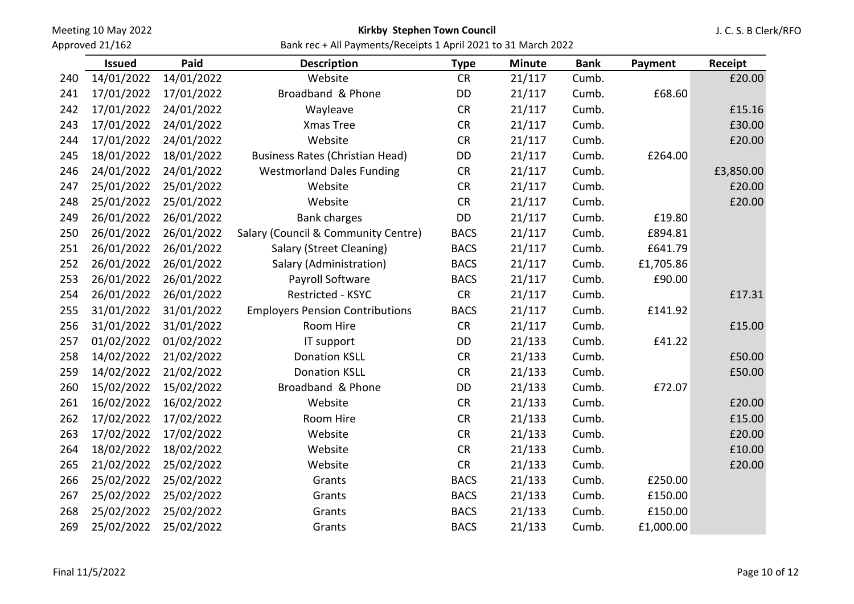Approved 21/162

### Kirkby Stephen Town Council

J. C. S. B Clerk/RFO

|     | <b>Issued</b> | Paid       | <b>Description</b>                     | <b>Type</b> | <b>Minute</b> | <b>Bank</b> | Payment   | Receipt   |
|-----|---------------|------------|----------------------------------------|-------------|---------------|-------------|-----------|-----------|
| 240 | 14/01/2022    | 14/01/2022 | Website                                | <b>CR</b>   | 21/117        | Cumb.       |           | £20.00    |
| 241 | 17/01/2022    | 17/01/2022 | Broadband & Phone                      | DD          | 21/117        | Cumb.       | £68.60    |           |
| 242 | 17/01/2022    | 24/01/2022 | Wayleave                               | <b>CR</b>   | 21/117        | Cumb.       |           | £15.16    |
| 243 | 17/01/2022    | 24/01/2022 | Xmas Tree                              | CR          | 21/117        | Cumb.       |           | £30.00    |
| 244 | 17/01/2022    | 24/01/2022 | Website                                | CR          | 21/117        | Cumb.       |           | £20.00    |
| 245 | 18/01/2022    | 18/01/2022 | <b>Business Rates (Christian Head)</b> | DD          | 21/117        | Cumb.       | £264.00   |           |
| 246 | 24/01/2022    | 24/01/2022 | <b>Westmorland Dales Funding</b>       | CR          | 21/117        | Cumb.       |           | £3,850.00 |
| 247 | 25/01/2022    | 25/01/2022 | Website                                | <b>CR</b>   | 21/117        | Cumb.       |           | £20.00    |
| 248 | 25/01/2022    | 25/01/2022 | Website                                | <b>CR</b>   | 21/117        | Cumb.       |           | £20.00    |
| 249 | 26/01/2022    | 26/01/2022 | <b>Bank charges</b>                    | DD          | 21/117        | Cumb.       | £19.80    |           |
| 250 | 26/01/2022    | 26/01/2022 | Salary (Council & Community Centre)    | <b>BACS</b> | 21/117        | Cumb.       | £894.81   |           |
| 251 | 26/01/2022    | 26/01/2022 | Salary (Street Cleaning)               | <b>BACS</b> | 21/117        | Cumb.       | £641.79   |           |
| 252 | 26/01/2022    | 26/01/2022 | Salary (Administration)                | <b>BACS</b> | 21/117        | Cumb.       | £1,705.86 |           |
| 253 | 26/01/2022    | 26/01/2022 | Payroll Software                       | <b>BACS</b> | 21/117        | Cumb.       | £90.00    |           |
| 254 | 26/01/2022    | 26/01/2022 | Restricted - KSYC                      | <b>CR</b>   | 21/117        | Cumb.       |           | £17.31    |
| 255 | 31/01/2022    | 31/01/2022 | <b>Employers Pension Contributions</b> | <b>BACS</b> | 21/117        | Cumb.       | £141.92   |           |
| 256 | 31/01/2022    | 31/01/2022 | Room Hire                              | <b>CR</b>   | 21/117        | Cumb.       |           | £15.00    |
| 257 | 01/02/2022    | 01/02/2022 | IT support                             | DD          | 21/133        | Cumb.       | £41.22    |           |
| 258 | 14/02/2022    | 21/02/2022 | <b>Donation KSLL</b>                   | CR          | 21/133        | Cumb.       |           | £50.00    |
| 259 | 14/02/2022    | 21/02/2022 | <b>Donation KSLL</b>                   | CR          | 21/133        | Cumb.       |           | £50.00    |
| 260 | 15/02/2022    | 15/02/2022 | Broadband & Phone                      | <b>DD</b>   | 21/133        | Cumb.       | £72.07    |           |
| 261 | 16/02/2022    | 16/02/2022 | Website                                | CR          | 21/133        | Cumb.       |           | £20.00    |
| 262 | 17/02/2022    | 17/02/2022 | Room Hire                              | <b>CR</b>   | 21/133        | Cumb.       |           | £15.00    |
| 263 | 17/02/2022    | 17/02/2022 | Website                                | CR          | 21/133        | Cumb.       |           | £20.00    |
| 264 | 18/02/2022    | 18/02/2022 | Website                                | <b>CR</b>   | 21/133        | Cumb.       |           | £10.00    |
| 265 | 21/02/2022    | 25/02/2022 | Website                                | CR          | 21/133        | Cumb.       |           | £20.00    |
| 266 | 25/02/2022    | 25/02/2022 | Grants                                 | <b>BACS</b> | 21/133        | Cumb.       | £250.00   |           |
| 267 | 25/02/2022    | 25/02/2022 | Grants                                 | <b>BACS</b> | 21/133        | Cumb.       | £150.00   |           |
| 268 | 25/02/2022    | 25/02/2022 | Grants                                 | <b>BACS</b> | 21/133        | Cumb.       | £150.00   |           |
| 269 | 25/02/2022    | 25/02/2022 | Grants                                 | <b>BACS</b> | 21/133        | Cumb.       | £1,000.00 |           |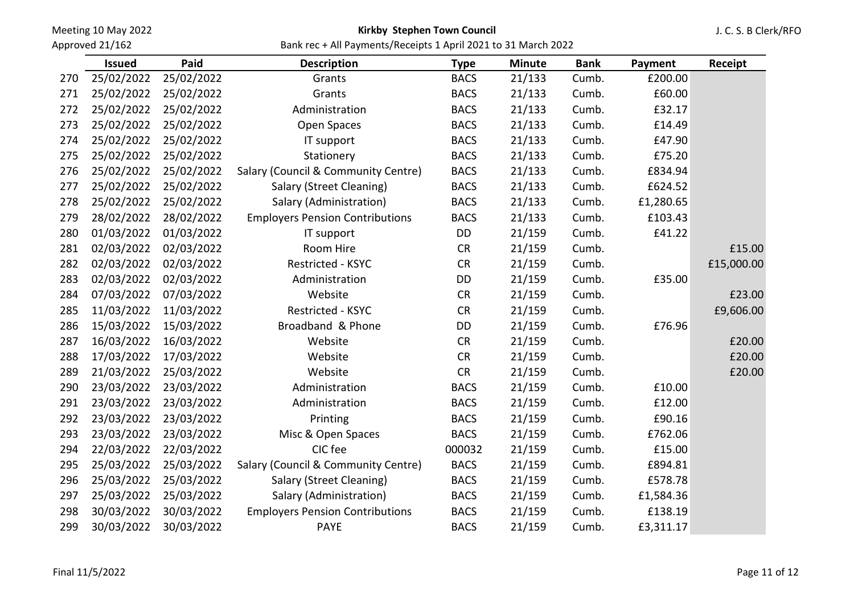Approved 21/162

# Kirkby Stephen Town Council

J. C. S. B Clerk/RFO

|     | <b>Issued</b> | Paid       | <b>Description</b>                     | <b>Type</b> | <b>Minute</b> | <b>Bank</b> | Payment   | Receipt    |
|-----|---------------|------------|----------------------------------------|-------------|---------------|-------------|-----------|------------|
| 270 | 25/02/2022    | 25/02/2022 | Grants                                 | <b>BACS</b> | 21/133        | Cumb.       | £200.00   |            |
| 271 | 25/02/2022    | 25/02/2022 | Grants                                 | <b>BACS</b> | 21/133        | Cumb.       | £60.00    |            |
| 272 | 25/02/2022    | 25/02/2022 | Administration                         | <b>BACS</b> | 21/133        | Cumb.       | £32.17    |            |
| 273 | 25/02/2022    | 25/02/2022 | Open Spaces                            | <b>BACS</b> | 21/133        | Cumb.       | £14.49    |            |
| 274 | 25/02/2022    | 25/02/2022 | IT support                             | <b>BACS</b> | 21/133        | Cumb.       | £47.90    |            |
| 275 | 25/02/2022    | 25/02/2022 | Stationery                             | <b>BACS</b> | 21/133        | Cumb.       | £75.20    |            |
| 276 | 25/02/2022    | 25/02/2022 | Salary (Council & Community Centre)    | <b>BACS</b> | 21/133        | Cumb.       | £834.94   |            |
| 277 | 25/02/2022    | 25/02/2022 | Salary (Street Cleaning)               | <b>BACS</b> | 21/133        | Cumb.       | £624.52   |            |
| 278 | 25/02/2022    | 25/02/2022 | Salary (Administration)                | <b>BACS</b> | 21/133        | Cumb.       | £1,280.65 |            |
| 279 | 28/02/2022    | 28/02/2022 | <b>Employers Pension Contributions</b> | <b>BACS</b> | 21/133        | Cumb.       | £103.43   |            |
| 280 | 01/03/2022    | 01/03/2022 | IT support                             | <b>DD</b>   | 21/159        | Cumb.       | £41.22    |            |
| 281 | 02/03/2022    | 02/03/2022 | Room Hire                              | <b>CR</b>   | 21/159        | Cumb.       |           | £15.00     |
| 282 | 02/03/2022    | 02/03/2022 | Restricted - KSYC                      | <b>CR</b>   | 21/159        | Cumb.       |           | £15,000.00 |
| 283 | 02/03/2022    | 02/03/2022 | Administration                         | DD          | 21/159        | Cumb.       | £35.00    |            |
| 284 | 07/03/2022    | 07/03/2022 | Website                                | CR          | 21/159        | Cumb.       |           | £23.00     |
| 285 | 11/03/2022    | 11/03/2022 | Restricted - KSYC                      | CR          | 21/159        | Cumb.       |           | £9,606.00  |
| 286 | 15/03/2022    | 15/03/2022 | Broadband & Phone                      | DD          | 21/159        | Cumb.       | £76.96    |            |
| 287 | 16/03/2022    | 16/03/2022 | Website                                | <b>CR</b>   | 21/159        | Cumb.       |           | £20.00     |
| 288 | 17/03/2022    | 17/03/2022 | Website                                | CR          | 21/159        | Cumb.       |           | £20.00     |
| 289 | 21/03/2022    | 25/03/2022 | Website                                | <b>CR</b>   | 21/159        | Cumb.       |           | £20.00     |
| 290 | 23/03/2022    | 23/03/2022 | Administration                         | <b>BACS</b> | 21/159        | Cumb.       | £10.00    |            |
| 291 | 23/03/2022    | 23/03/2022 | Administration                         | <b>BACS</b> | 21/159        | Cumb.       | £12.00    |            |
| 292 | 23/03/2022    | 23/03/2022 | Printing                               | <b>BACS</b> | 21/159        | Cumb.       | £90.16    |            |
| 293 | 23/03/2022    | 23/03/2022 | Misc & Open Spaces                     | <b>BACS</b> | 21/159        | Cumb.       | £762.06   |            |
| 294 | 22/03/2022    | 22/03/2022 | CIC fee                                | 000032      | 21/159        | Cumb.       | £15.00    |            |
| 295 | 25/03/2022    | 25/03/2022 | Salary (Council & Community Centre)    | <b>BACS</b> | 21/159        | Cumb.       | £894.81   |            |
| 296 | 25/03/2022    | 25/03/2022 | Salary (Street Cleaning)               | <b>BACS</b> | 21/159        | Cumb.       | £578.78   |            |
| 297 | 25/03/2022    | 25/03/2022 | Salary (Administration)                | <b>BACS</b> | 21/159        | Cumb.       | £1,584.36 |            |
| 298 | 30/03/2022    | 30/03/2022 | <b>Employers Pension Contributions</b> | <b>BACS</b> | 21/159        | Cumb.       | £138.19   |            |
| 299 | 30/03/2022    | 30/03/2022 | <b>PAYE</b>                            | <b>BACS</b> | 21/159        | Cumb.       | £3,311.17 |            |